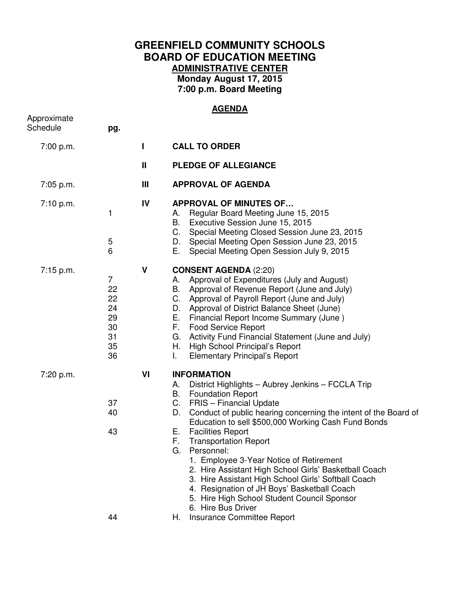## **GREENFIELD COMMUNITY SCHOOLS BOARD OF EDUCATION MEETING ADMINISTRATIVE CENTER Monday August 17, 2015 7:00 p.m. Board Meeting**

## **AGENDA**

| pg.                                                            |              |                                                                                                                                                                                                                                                                                                                                                                                                                                                                                                                                                                                                                                                                                                        |
|----------------------------------------------------------------|--------------|--------------------------------------------------------------------------------------------------------------------------------------------------------------------------------------------------------------------------------------------------------------------------------------------------------------------------------------------------------------------------------------------------------------------------------------------------------------------------------------------------------------------------------------------------------------------------------------------------------------------------------------------------------------------------------------------------------|
|                                                                | L            | <b>CALL TO ORDER</b>                                                                                                                                                                                                                                                                                                                                                                                                                                                                                                                                                                                                                                                                                   |
|                                                                | Ш            | <b>PLEDGE OF ALLEGIANCE</b>                                                                                                                                                                                                                                                                                                                                                                                                                                                                                                                                                                                                                                                                            |
|                                                                | Ш            | <b>APPROVAL OF AGENDA</b>                                                                                                                                                                                                                                                                                                                                                                                                                                                                                                                                                                                                                                                                              |
| 1<br>5<br>6                                                    | IV           | <b>APPROVAL OF MINUTES OF</b><br>Regular Board Meeting June 15, 2015<br>А.<br>Executive Session June 15, 2015<br>В.<br>C.<br>Special Meeting Closed Session June 23, 2015<br>D. Special Meeting Open Session June 23, 2015<br>Е.<br>Special Meeting Open Session July 9, 2015                                                                                                                                                                                                                                                                                                                                                                                                                          |
| $\overline{7}$<br>22<br>22<br>24<br>29<br>30<br>31<br>35<br>36 | $\mathsf{V}$ | <b>CONSENT AGENDA (2:20)</b><br>Approval of Expenditures (July and August)<br>А.<br>Approval of Revenue Report (June and July)<br>В.<br>Approval of Payroll Report (June and July)<br>С.<br>Approval of District Balance Sheet (June)<br>D.<br>E. .<br>Financial Report Income Summary (June)<br>F.<br><b>Food Service Report</b><br>G. Activity Fund Financial Statement (June and July)<br>H. High School Principal's Report<br><b>Elementary Principal's Report</b><br>Ι.                                                                                                                                                                                                                           |
| 37<br>40<br>43<br>44                                           | VI           | <b>INFORMATION</b><br>District Highlights - Aubrey Jenkins - FCCLA Trip<br>А.<br><b>Foundation Report</b><br>В.<br>C.<br><b>FRIS</b> – Financial Update<br>Conduct of public hearing concerning the intent of the Board of<br>D.<br>Education to sell \$500,000 Working Cash Fund Bonds<br><b>Facilities Report</b><br>Е.<br>F.<br><b>Transportation Report</b><br>G.<br>Personnel:<br>1. Employee 3-Year Notice of Retirement<br>2. Hire Assistant High School Girls' Basketball Coach<br>3. Hire Assistant High School Girls' Softball Coach<br>4. Resignation of JH Boys' Basketball Coach<br>5. Hire High School Student Council Sponsor<br>6. Hire Bus Driver<br>Insurance Committee Report<br>Н. |
|                                                                |              |                                                                                                                                                                                                                                                                                                                                                                                                                                                                                                                                                                                                                                                                                                        |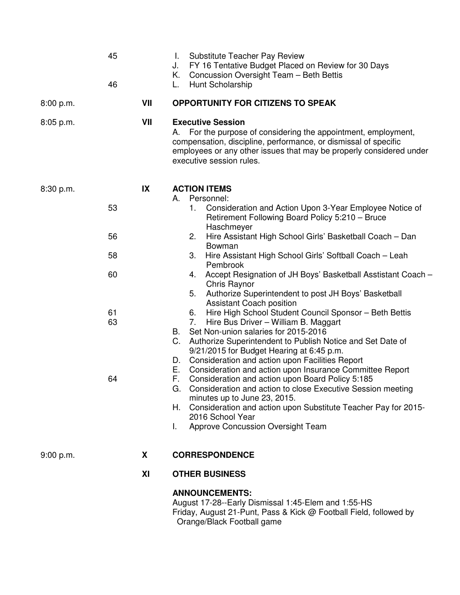|           | 45<br>46 |     | <b>Substitute Teacher Pay Review</b><br>L.<br>FY 16 Tentative Budget Placed on Review for 30 Days<br>J.<br>Concussion Oversight Team - Beth Bettis<br>K. .<br>Hunt Scholarship<br>L.                                                                                                                                                                                      |
|-----------|----------|-----|---------------------------------------------------------------------------------------------------------------------------------------------------------------------------------------------------------------------------------------------------------------------------------------------------------------------------------------------------------------------------|
| 8:00 p.m. |          | VII | <b>OPPORTUNITY FOR CITIZENS TO SPEAK</b>                                                                                                                                                                                                                                                                                                                                  |
| 8:05 p.m. |          | VII | <b>Executive Session</b><br>For the purpose of considering the appointment, employment,<br>А.<br>compensation, discipline, performance, or dismissal of specific<br>employees or any other issues that may be properly considered under<br>executive session rules.                                                                                                       |
| 8:30 p.m. | 53       | IX  | <b>ACTION ITEMS</b><br>A. Personnel:<br>Consideration and Action Upon 3-Year Employee Notice of<br>1.<br>Retirement Following Board Policy 5:210 - Bruce                                                                                                                                                                                                                  |
|           | 56       |     | Haschmeyer<br>Hire Assistant High School Girls' Basketball Coach - Dan<br>2.<br>Bowman                                                                                                                                                                                                                                                                                    |
|           | 58       |     | Hire Assistant High School Girls' Softball Coach - Leah<br>3.<br>Pembrook                                                                                                                                                                                                                                                                                                 |
|           | 60       |     | Accept Resignation of JH Boys' Basketball Asstistant Coach -<br>4.<br>Chris Raynor<br>Authorize Superintendent to post JH Boys' Basketball<br>5.                                                                                                                                                                                                                          |
|           | 61<br>63 |     | <b>Assistant Coach position</b><br>Hire High School Student Council Sponsor - Beth Bettis<br>6.<br>Hire Bus Driver - William B. Maggart<br>7.<br>Set Non-union salaries for 2015-2016<br>B.<br>Authorize Superintendent to Publish Notice and Set Date of<br>C.<br>9/21/2015 for Budget Hearing at 6:45 p.m.<br>Consideration and action upon Facilities Report<br>D.     |
|           | 64       |     | Consideration and action upon Insurance Committee Report<br>E.,<br>Consideration and action upon Board Policy 5:185<br>F.<br>G. Consideration and action to close Executive Session meeting<br>minutes up to June 23, 2015.<br>Consideration and action upon Substitute Teacher Pay for 2015-<br>Н.<br>2016 School Year<br><b>Approve Concussion Oversight Team</b><br>L. |
| 9:00 p.m. |          | X   | <b>CORRESPONDENCE</b>                                                                                                                                                                                                                                                                                                                                                     |
|           |          | XI  | <b>OTHER BUSINESS</b>                                                                                                                                                                                                                                                                                                                                                     |
|           |          |     | <b>ANNOUNCEMENTS:</b><br>August 17-28--Early Dismissal 1:45-Elem and 1:55-HS                                                                                                                                                                                                                                                                                              |

Friday, August 21-Punt, Pass & Kick @ Football Field, followed by Orange/Black Football game